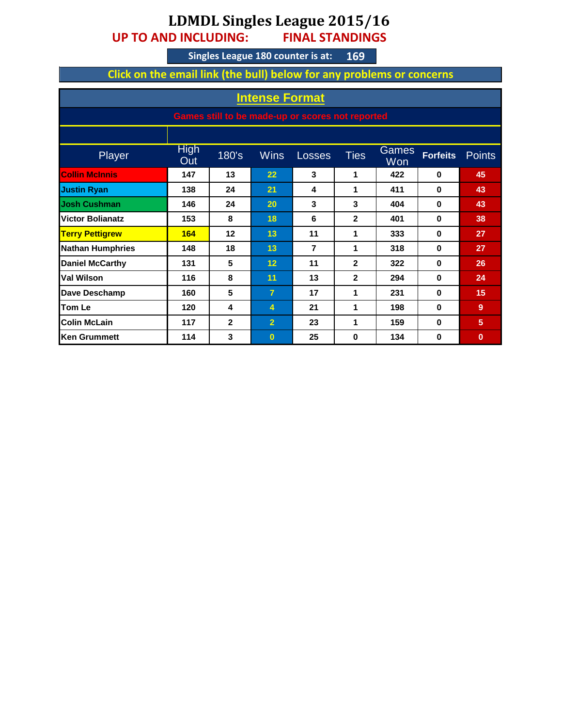## **LDMDL Singles League 2015/16**

**UP TO AND INCLUDING: FINAL STANDINGS**

**169 Singles League 180 counter is at:**

**Click on the email link (the bull) below for any problems or concerns**

| <b>Intense Format</b>                            |                    |                |                   |        |              |              |                 |          |
|--------------------------------------------------|--------------------|----------------|-------------------|--------|--------------|--------------|-----------------|----------|
| Games still to be made-up or scores not reported |                    |                |                   |        |              |              |                 |          |
|                                                  |                    |                |                   |        |              |              |                 |          |
| Player                                           | <b>High</b><br>Out | 180's          | <b>Wins</b>       | Losses | <b>Ties</b>  | Games<br>Won | <b>Forfeits</b> | Points   |
| <b>Collin McInnis</b>                            | 147                | 13             | $22 \overline{)}$ | 3      | 1            | 422          | $\bf{0}$        | 45       |
| <b>Justin Ryan</b>                               | 138                | 24             | 21                | 4      | 1            | 411          | $\bf{0}$        | 43       |
| <b>Josh Cushman</b>                              | 146                | 24             | 20                | 3      | 3            | 404          | $\bf{0}$        | 43       |
| <b>Victor Bolianatz</b>                          | 153                | 8              | 18                | 6      | $\mathbf{2}$ | 401          | $\bf{0}$        | 38       |
| <b>Terry Pettigrew</b>                           | 164                | 12             | 13                | 11     | 1            | 333          | $\bf{0}$        | 27       |
| <b>Nathan Humphries</b>                          | 148                | 18             | 13                | 7      | 1            | 318          | $\bf{0}$        | 27       |
| <b>Daniel McCarthy</b>                           | 131                | 5              | 12                | 11     | $\mathbf{2}$ | 322          | $\bf{0}$        | 26       |
| <b>Val Wilson</b>                                | 116                | 8              | 11                | 13     | $\mathbf{2}$ | 294          | $\bf{0}$        | 24       |
| Dave Deschamp                                    | 160                | 5              | $\overline{7}$    | 17     | 1            | 231          | $\bf{0}$        | 15       |
| <b>Tom Le</b>                                    | 120                | 4              | 4                 | 21     | 1            | 198          | $\bf{0}$        | 9        |
| <b>Colin McLain</b>                              | 117                | $\overline{2}$ | $\overline{2}$    | 23     | 1            | 159          | $\bf{0}$        | 5        |
| <b>Ken Grummett</b>                              | 114                | 3              | $\bf{0}$          | 25     | 0            | 134          | $\bf{0}$        | $\bf{0}$ |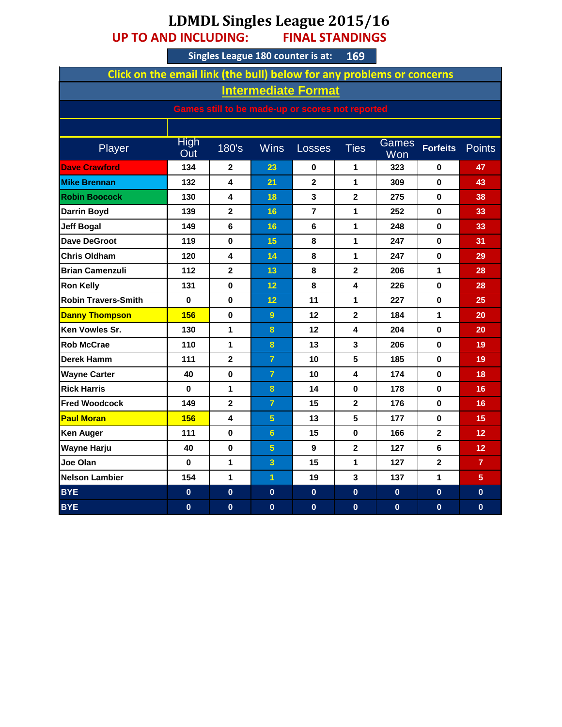## **LDMDL Singles League 2015/16 UP TO AND INCLUDING: FINAL STANDINGS**

**Singles League 180 counter is at: 169**

| Click on the email link (the bull) below for any problems or concerns |                    |                |                |                |                         |              |                 |                   |
|-----------------------------------------------------------------------|--------------------|----------------|----------------|----------------|-------------------------|--------------|-----------------|-------------------|
| <b>Intermediate Format</b>                                            |                    |                |                |                |                         |              |                 |                   |
| Games still to be made-up or scores not reported                      |                    |                |                |                |                         |              |                 |                   |
|                                                                       |                    |                |                |                |                         |              |                 |                   |
| Player                                                                | <b>High</b><br>Out | 180's          | <b>Wins</b>    | <b>Losses</b>  | <b>Ties</b>             | Games<br>Won | <b>Forfeits</b> | <b>Points</b>     |
| <b>Dave Crawford</b>                                                  | 134                | $\overline{2}$ | 23             | 0              | 1                       | 323          | 0               | 47                |
| <b>Mike Brennan</b>                                                   | 132                | 4              | 21             | $\overline{2}$ | 1                       | 309          | $\bf{0}$        | 43                |
| <b>Robin Boocock</b>                                                  | 130                | 4              | 18             | 3              | $\mathbf 2$             | 275          | 0               | 38                |
| <b>Darrin Boyd</b>                                                    | 139                | $\overline{2}$ | 16             | $\overline{7}$ | 1                       | 252          | $\bf{0}$        | 33                |
| <b>Jeff Bogal</b>                                                     | 149                | 6              | 16             | 6              | $\mathbf{1}$            | 248          | 0               | 33                |
| <b>Dave DeGroot</b>                                                   | 119                | $\bf{0}$       | 15             | 8              | 1                       | 247          | $\bf{0}$        | 31                |
| <b>Chris Oldham</b>                                                   | 120                | 4              | 14             | 8              | 1                       | 247          | 0               | 29                |
| <b>Brian Camenzuli</b>                                                | 112                | $\mathbf 2$    | 13             | 8              | $\mathbf{2}$            | 206          | 1               | 28                |
| <b>Ron Kelly</b>                                                      | 131                | $\mathbf{0}$   | 12             | 8              | 4                       | 226          | $\mathbf{0}$    | 28                |
| <b>Robin Travers-Smith</b>                                            | $\bf{0}$           | $\bf{0}$       | 12             | 11             | 1                       | 227          | $\bf{0}$        | 25                |
| <b>Danny Thompson</b>                                                 | 156                | 0              | $\overline{9}$ | 12             | $\mathbf{2}$            | 184          | 1               | 20                |
| <b>Ken Vowles Sr.</b>                                                 | 130                | 1              | $\bf{8}$       | 12             | 4                       | 204          | 0               | 20                |
| <b>Rob McCrae</b>                                                     | 110                | 1              | 8              | 13             | 3                       | 206          | 0               | 19                |
| <b>Derek Hamm</b>                                                     | 111                | $\mathbf{2}$   | $\overline{7}$ | 10             | 5                       | 185          | $\bf{0}$        | 19                |
| <b>Wayne Carter</b>                                                   | 40                 | 0              | $\overline{7}$ | 10             | 4                       | 174          | 0               | 18                |
| <b>Rick Harris</b>                                                    | 0                  | 1              | $\bf{8}$       | 14             | 0                       | 178          | 0               | 16                |
| <b>Fred Woodcock</b>                                                  | 149                | $\overline{2}$ | $\overline{7}$ | 15             | $\overline{\mathbf{2}}$ | 176          | 0               | 16                |
| <b>Paul Moran</b>                                                     | 156                | 4              | $\overline{5}$ | 13             | 5                       | 177          | 0               | 15                |
| <b>Ken Auger</b>                                                      | 111                | 0              | $6\phantom{a}$ | 15             | 0                       | 166          | $\mathbf{2}$    | $12 \overline{ }$ |
| Wayne Harju                                                           | 40                 | $\bf{0}$       | $\overline{5}$ | 9              | $\mathbf{2}$            | 127          | 6               | 12 <sub>2</sub>   |
| Joe Olan                                                              | 0                  | 1              | 3              | 15             | 1                       | 127          | $\mathbf{2}$    | $\overline{7}$    |
| <b>Nelson Lambier</b>                                                 | 154                | 1              | $\overline{1}$ | 19             | 3                       | 137          | 1               | 5 <sup>5</sup>    |
| <b>BYE</b>                                                            | $\mathbf{0}$       | $\bf{0}$       | $\bf{0}$       | $\mathbf{0}$   | $\bf{0}$                | $\mathbf{0}$ | $\mathbf{0}$    | $\mathbf{0}$      |
| <b>BYE</b>                                                            | $\mathbf{0}$       | $\mathbf 0$    | $\mathbf{0}$   | $\mathbf{0}$   | $\mathbf{0}$            | $\bf{0}$     | $\mathbf{0}$    | $\mathbf{0}$      |